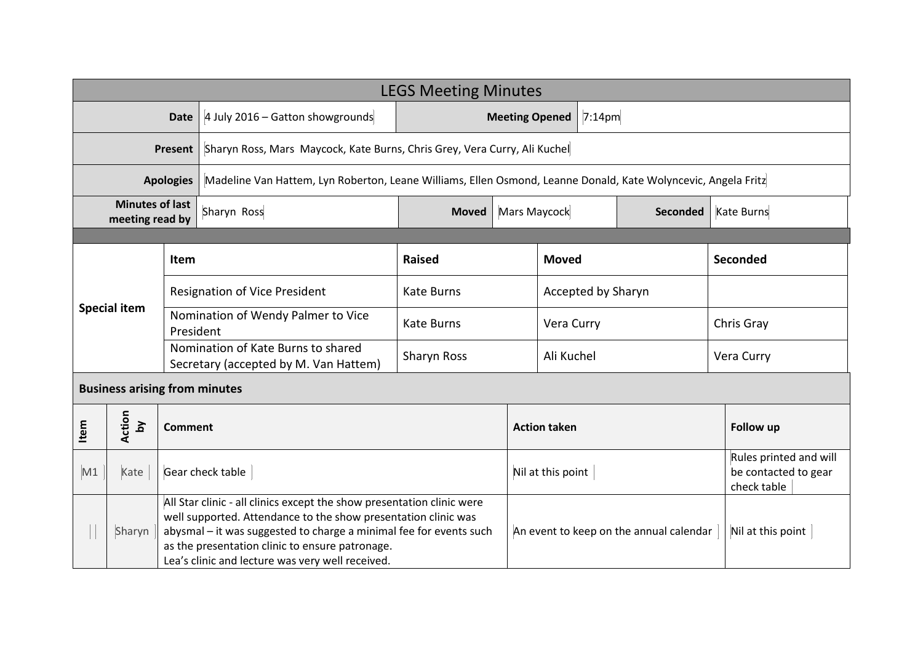| <b>LEGS Meeting Minutes</b>               |                              |                |                                                                                                                                                                                                                                                                                                                       |                                 |                                 |                                         |                   |                                                               |  |
|-------------------------------------------|------------------------------|----------------|-----------------------------------------------------------------------------------------------------------------------------------------------------------------------------------------------------------------------------------------------------------------------------------------------------------------------|---------------------------------|---------------------------------|-----------------------------------------|-------------------|---------------------------------------------------------------|--|
| <b>Date</b>                               |                              |                | 4 July 2016 - Gatton showgrounds                                                                                                                                                                                                                                                                                      | 7:14pm<br><b>Meeting Opened</b> |                                 |                                         |                   |                                                               |  |
| <b>Present</b>                            |                              |                | Sharyn Ross, Mars Maycock, Kate Burns, Chris Grey, Vera Curry, Ali Kuchel                                                                                                                                                                                                                                             |                                 |                                 |                                         |                   |                                                               |  |
| <b>Apologies</b>                          |                              |                | Madeline Van Hattem, Lyn Roberton, Leane Williams, Ellen Osmond, Leanne Donald, Kate Wolyncevic, Angela Fritz                                                                                                                                                                                                         |                                 |                                 |                                         |                   |                                                               |  |
| <b>Minutes of last</b><br>meeting read by |                              |                | Sharyn Ross                                                                                                                                                                                                                                                                                                           | <b>Moved</b>                    | Mars Maycock<br><b>Seconded</b> |                                         | Kate Burns        |                                                               |  |
|                                           |                              |                |                                                                                                                                                                                                                                                                                                                       |                                 |                                 |                                         |                   |                                                               |  |
|                                           |                              | Item           |                                                                                                                                                                                                                                                                                                                       | <b>Raised</b>                   | <b>Moved</b>                    |                                         |                   | Seconded                                                      |  |
|                                           |                              |                | <b>Resignation of Vice President</b>                                                                                                                                                                                                                                                                                  | <b>Kate Burns</b>               |                                 | Accepted by Sharyn                      |                   |                                                               |  |
| <b>Special item</b>                       |                              | President      | Nomination of Wendy Palmer to Vice                                                                                                                                                                                                                                                                                    | <b>Kate Burns</b>               |                                 | Vera Curry                              |                   | Chris Gray                                                    |  |
|                                           |                              |                | Nomination of Kate Burns to shared<br>Secretary (accepted by M. Van Hattem)                                                                                                                                                                                                                                           | Sharyn Ross                     |                                 | Ali Kuchel                              |                   | Vera Curry                                                    |  |
| <b>Business arising from minutes</b>      |                              |                |                                                                                                                                                                                                                                                                                                                       |                                 |                                 |                                         |                   |                                                               |  |
| Item                                      | Action<br>$\mathbf{\hat{a}}$ | <b>Comment</b> |                                                                                                                                                                                                                                                                                                                       |                                 |                                 | <b>Action taken</b>                     |                   | Follow up                                                     |  |
| M1                                        | Kate                         |                | Gear check table                                                                                                                                                                                                                                                                                                      |                                 |                                 | Nil at this point                       |                   | Rules printed and will<br>be contacted to gear<br>check table |  |
|                                           | Sharyn                       |                | All Star clinic - all clinics except the show presentation clinic were<br>well supported. Attendance to the show presentation clinic was<br>abysmal - it was suggested to charge a minimal fee for events such<br>as the presentation clinic to ensure patronage.<br>Lea's clinic and lecture was very well received. |                                 |                                 | An event to keep on the annual calendar | Nil at this point |                                                               |  |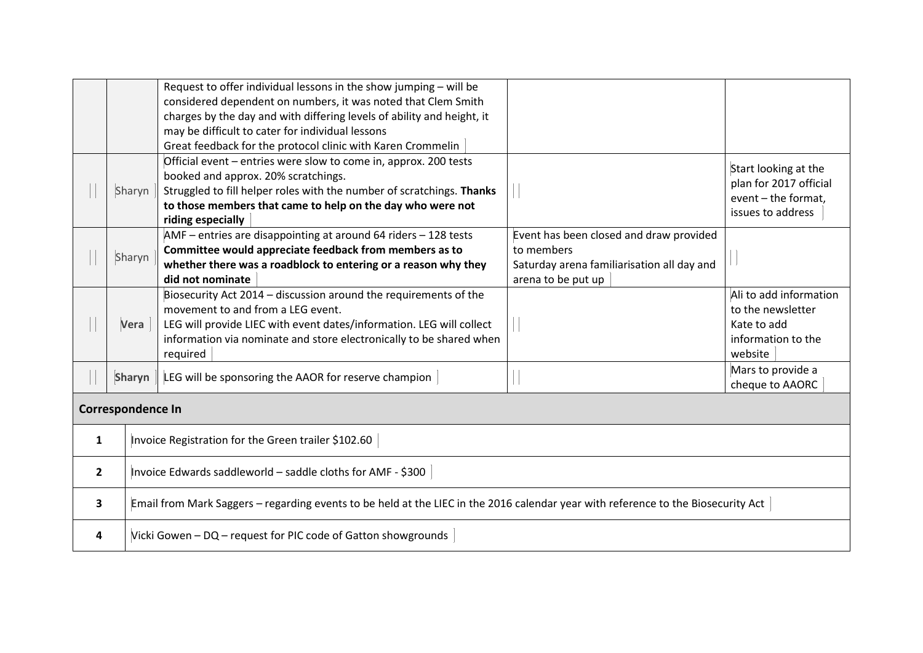|              |                          | Request to offer individual lessons in the show jumping - will be<br>considered dependent on numbers, it was noted that Clem Smith<br>charges by the day and with differing levels of ability and height, it<br>may be difficult to cater for individual lessons    |                                                                                                                           |                                                                                             |  |  |  |  |
|--------------|--------------------------|---------------------------------------------------------------------------------------------------------------------------------------------------------------------------------------------------------------------------------------------------------------------|---------------------------------------------------------------------------------------------------------------------------|---------------------------------------------------------------------------------------------|--|--|--|--|
|              |                          | Great feedback for the protocol clinic with Karen Crommelin                                                                                                                                                                                                         |                                                                                                                           |                                                                                             |  |  |  |  |
|              | Sharyn                   | Official event - entries were slow to come in, approx. 200 tests<br>booked and approx. 20% scratchings.<br>Struggled to fill helper roles with the number of scratchings. Thanks<br>to those members that came to help on the day who were not<br>riding especially |                                                                                                                           | Start looking at the<br>plan for 2017 official<br>event - the format.<br>issues to address  |  |  |  |  |
|              | Sharyn                   | AMF - entries are disappointing at around 64 riders - 128 tests<br>Committee would appreciate feedback from members as to<br>whether there was a roadblock to entering or a reason why they<br>did not nominate                                                     | Event has been closed and draw provided<br>to members<br>Saturday arena familiarisation all day and<br>arena to be put up |                                                                                             |  |  |  |  |
|              | Vera                     | Biosecurity Act 2014 - discussion around the requirements of the<br>movement to and from a LEG event.<br>LEG will provide LIEC with event dates/information. LEG will collect<br>information via nominate and store electronically to be shared when<br>required    |                                                                                                                           | Ali to add information<br>to the newsletter<br>Kate to add<br>information to the<br>website |  |  |  |  |
|              | Sharyn                   | LEG will be sponsoring the AAOR for reserve champion                                                                                                                                                                                                                |                                                                                                                           | Mars to provide a<br>cheque to AAORC                                                        |  |  |  |  |
|              | <b>Correspondence In</b> |                                                                                                                                                                                                                                                                     |                                                                                                                           |                                                                                             |  |  |  |  |
| 1            |                          | Invoice Registration for the Green trailer \$102.60                                                                                                                                                                                                                 |                                                                                                                           |                                                                                             |  |  |  |  |
| $\mathbf{2}$ |                          | Invoice Edwards saddleworld - saddle cloths for AMF - \$300                                                                                                                                                                                                         |                                                                                                                           |                                                                                             |  |  |  |  |
| 3            |                          | Email from Mark Saggers - regarding events to be held at the LIEC in the 2016 calendar year with reference to the Biosecurity Act                                                                                                                                   |                                                                                                                           |                                                                                             |  |  |  |  |
| 4            |                          | Vicki Gowen - DQ - request for PIC code of Gatton showgrounds                                                                                                                                                                                                       |                                                                                                                           |                                                                                             |  |  |  |  |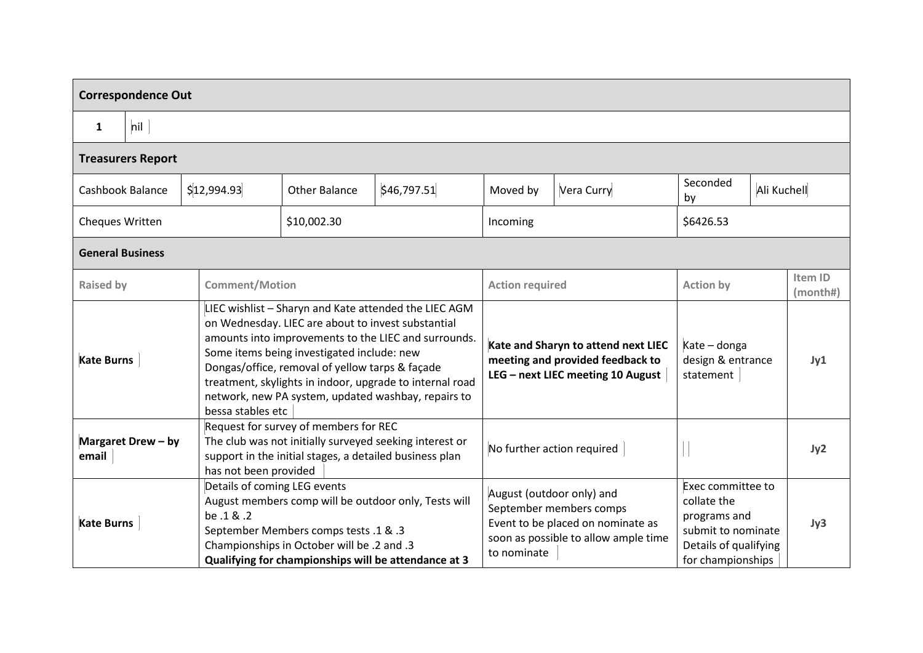| <b>Correspondence Out</b>   |                          |             |                                                                                                                                                                                                                                                                                                                                                                                                              |             |                                                                                                                                                  |                                                                                                              |                                                                                                                      |                                                |                     |  |
|-----------------------------|--------------------------|-------------|--------------------------------------------------------------------------------------------------------------------------------------------------------------------------------------------------------------------------------------------------------------------------------------------------------------------------------------------------------------------------------------------------------------|-------------|--------------------------------------------------------------------------------------------------------------------------------------------------|--------------------------------------------------------------------------------------------------------------|----------------------------------------------------------------------------------------------------------------------|------------------------------------------------|---------------------|--|
| $\mathbf{1}$                | nil                      |             |                                                                                                                                                                                                                                                                                                                                                                                                              |             |                                                                                                                                                  |                                                                                                              |                                                                                                                      |                                                |                     |  |
|                             | <b>Treasurers Report</b> |             |                                                                                                                                                                                                                                                                                                                                                                                                              |             |                                                                                                                                                  |                                                                                                              |                                                                                                                      |                                                |                     |  |
| Cashbook Balance            |                          | \$12,994.93 | <b>Other Balance</b>                                                                                                                                                                                                                                                                                                                                                                                         | \$46,797.51 | Vera Curry<br>Moved by                                                                                                                           |                                                                                                              | Seconded<br>by                                                                                                       | Ali Kuchell                                    |                     |  |
| <b>Cheques Written</b>      |                          |             | \$10,002.30                                                                                                                                                                                                                                                                                                                                                                                                  |             | Incoming                                                                                                                                         |                                                                                                              | \$6426.53                                                                                                            |                                                |                     |  |
|                             | <b>General Business</b>  |             |                                                                                                                                                                                                                                                                                                                                                                                                              |             |                                                                                                                                                  |                                                                                                              |                                                                                                                      |                                                |                     |  |
| <b>Raised by</b>            |                          |             | <b>Comment/Motion</b>                                                                                                                                                                                                                                                                                                                                                                                        |             | <b>Action required</b>                                                                                                                           |                                                                                                              | <b>Action by</b>                                                                                                     |                                                | Item ID<br>(month#) |  |
| <b>Kate Burns</b>           |                          |             | LIEC wishlist - Sharyn and Kate attended the LIEC AGM<br>on Wednesday. LIEC are about to invest substantial<br>amounts into improvements to the LIEC and surrounds.<br>Some items being investigated include: new<br>Dongas/office, removal of yellow tarps & façade<br>treatment, skylights in indoor, upgrade to internal road<br>network, new PA system, updated washbay, repairs to<br>bessa stables etc |             |                                                                                                                                                  | Kate and Sharyn to attend next LIEC<br>meeting and provided feedback to<br>LEG - next LIEC meeting 10 August |                                                                                                                      | Kate - donga<br>design & entrance<br>statement |                     |  |
| Margaret Drew - by<br>email |                          |             | Request for survey of members for REC<br>The club was not initially surveyed seeking interest or<br>support in the initial stages, a detailed business plan<br>has not been provided                                                                                                                                                                                                                         |             |                                                                                                                                                  | No further action required                                                                                   |                                                                                                                      |                                                |                     |  |
| <b>Kate Burns</b>           |                          | be .1 & .2  | Details of coming LEG events<br>August members comp will be outdoor only, Tests will<br>September Members comps tests .1 & .3<br>Championships in October will be .2 and .3<br>Qualifying for championships will be attendance at 3                                                                                                                                                                          |             | August (outdoor only) and<br>September members comps<br>Event to be placed on nominate as<br>soon as possible to allow ample time<br>to nominate |                                                                                                              | Exec committee to<br>collate the<br>programs and<br>submit to nominate<br>Details of qualifying<br>for championships |                                                | Jy3                 |  |